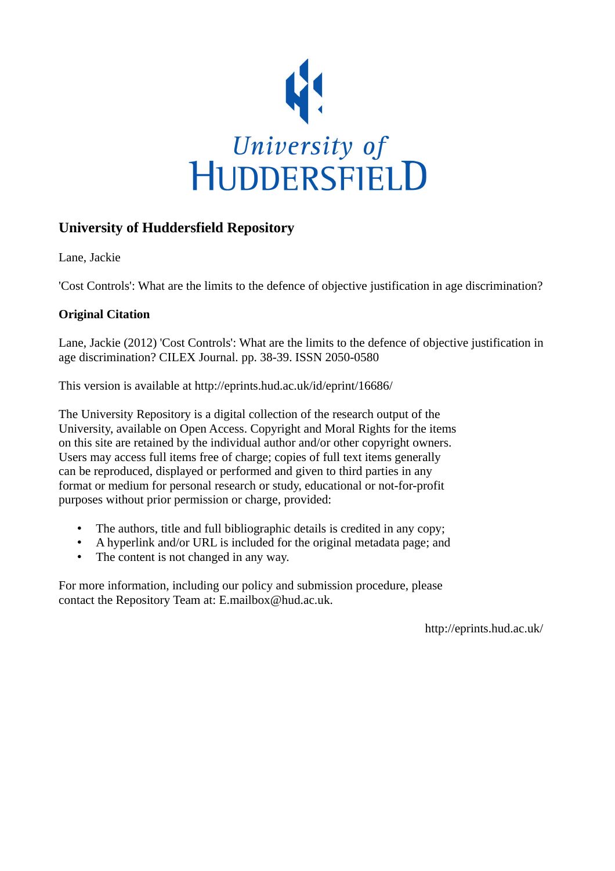

## **University of Huddersfield Repository**

Lane, Jackie

'Cost Controls': What are the limits to the defence of objective justification in age discrimination?

## **Original Citation**

Lane, Jackie (2012) 'Cost Controls': What are the limits to the defence of objective justification in age discrimination? CILEX Journal. pp. 38-39. ISSN 2050-0580

This version is available at http://eprints.hud.ac.uk/id/eprint/16686/

The University Repository is a digital collection of the research output of the University, available on Open Access. Copyright and Moral Rights for the items on this site are retained by the individual author and/or other copyright owners. Users may access full items free of charge; copies of full text items generally can be reproduced, displayed or performed and given to third parties in any format or medium for personal research or study, educational or not-for-profit purposes without prior permission or charge, provided:

- The authors, title and full bibliographic details is credited in any copy;
- A hyperlink and/or URL is included for the original metadata page; and
- The content is not changed in any way.

For more information, including our policy and submission procedure, please contact the Repository Team at: E.mailbox@hud.ac.uk.

http://eprints.hud.ac.uk/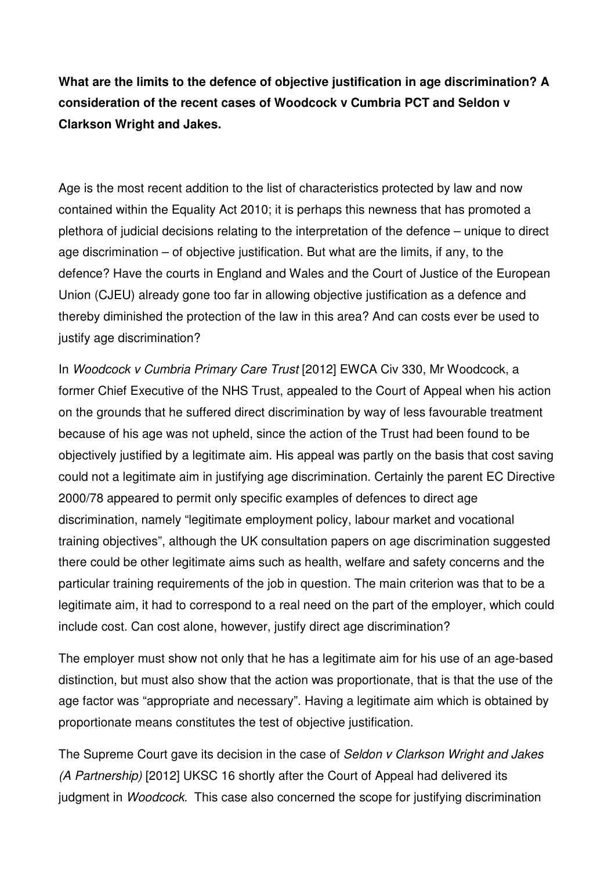**What are the limits to the defence of objective justification in age discrimination? A consideration of the recent cases of Woodcock v Cumbria PCT and Seldon v Clarkson Wright and Jakes.** 

Age is the most recent addition to the list of characteristics protected by law and now contained within the Equality Act 2010; it is perhaps this newness that has promoted a plethora of judicial decisions relating to the interpretation of the defence – unique to direct age discrimination – of objective justification. But what are the limits, if any, to the defence? Have the courts in England and Wales and the Court of Justice of the European Union (CJEU) already gone too far in allowing objective justification as a defence and thereby diminished the protection of the law in this area? And can costs ever be used to justify age discrimination?

In Woodcock v Cumbria Primary Care Trust [2012] EWCA Civ 330, Mr Woodcock, a former Chief Executive of the NHS Trust, appealed to the Court of Appeal when his action on the grounds that he suffered direct discrimination by way of less favourable treatment because of his age was not upheld, since the action of the Trust had been found to be objectively justified by a legitimate aim. His appeal was partly on the basis that cost saving could not a legitimate aim in justifying age discrimination. Certainly the parent EC Directive 2000/78 appeared to permit only specific examples of defences to direct age discrimination, namely "legitimate employment policy, labour market and vocational training objectives", although the UK consultation papers on age discrimination suggested there could be other legitimate aims such as health, welfare and safety concerns and the particular training requirements of the job in question. The main criterion was that to be a legitimate aim, it had to correspond to a real need on the part of the employer, which could include cost. Can cost alone, however, justify direct age discrimination?

The employer must show not only that he has a legitimate aim for his use of an age-based distinction, but must also show that the action was proportionate, that is that the use of the age factor was "appropriate and necessary". Having a legitimate aim which is obtained by proportionate means constitutes the test of objective justification.

The Supreme Court gave its decision in the case of Seldon v Clarkson Wright and Jakes (A Partnership) [2012] UKSC 16 shortly after the Court of Appeal had delivered its judgment in Woodcock. This case also concerned the scope for justifying discrimination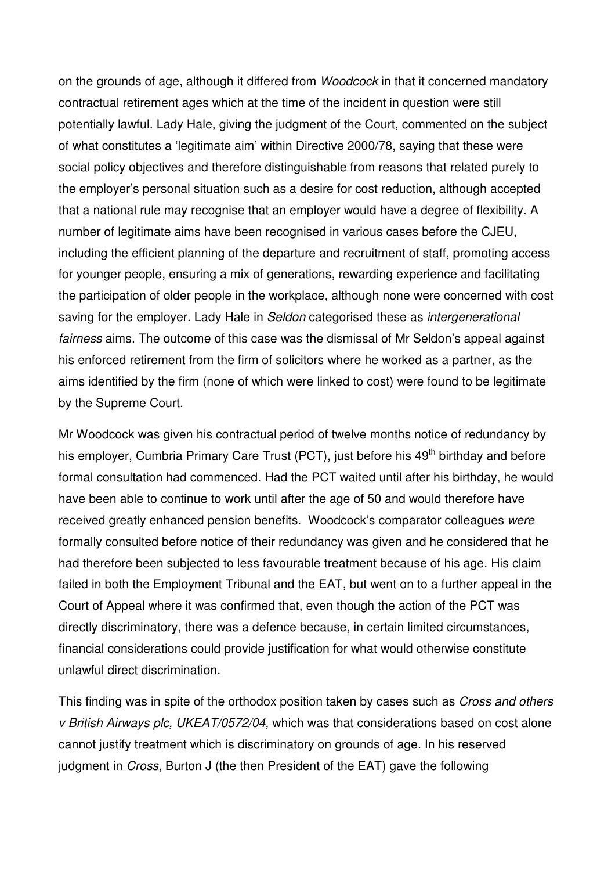on the grounds of age, although it differed from Woodcock in that it concerned mandatory contractual retirement ages which at the time of the incident in question were still potentially lawful. Lady Hale, giving the judgment of the Court, commented on the subject of what constitutes a 'legitimate aim' within Directive 2000/78, saying that these were social policy objectives and therefore distinguishable from reasons that related purely to the employer's personal situation such as a desire for cost reduction, although accepted that a national rule may recognise that an employer would have a degree of flexibility. A number of legitimate aims have been recognised in various cases before the CJEU, including the efficient planning of the departure and recruitment of staff, promoting access for younger people, ensuring a mix of generations, rewarding experience and facilitating the participation of older people in the workplace, although none were concerned with cost saving for the employer. Lady Hale in Seldon categorised these as intergenerational fairness aims. The outcome of this case was the dismissal of Mr Seldon's appeal against his enforced retirement from the firm of solicitors where he worked as a partner, as the aims identified by the firm (none of which were linked to cost) were found to be legitimate by the Supreme Court.

Mr Woodcock was given his contractual period of twelve months notice of redundancy by his employer, Cumbria Primary Care Trust (PCT), just before his 49<sup>th</sup> birthday and before formal consultation had commenced. Had the PCT waited until after his birthday, he would have been able to continue to work until after the age of 50 and would therefore have received greatly enhanced pension benefits. Woodcock's comparator colleagues were formally consulted before notice of their redundancy was given and he considered that he had therefore been subjected to less favourable treatment because of his age. His claim failed in both the Employment Tribunal and the EAT, but went on to a further appeal in the Court of Appeal where it was confirmed that, even though the action of the PCT was directly discriminatory, there was a defence because, in certain limited circumstances, financial considerations could provide justification for what would otherwise constitute unlawful direct discrimination.

This finding was in spite of the orthodox position taken by cases such as *Cross and others* v British Airways plc, UKEAT/0572/04, which was that considerations based on cost alone cannot justify treatment which is discriminatory on grounds of age. In his reserved judgment in *Cross*, Burton J (the then President of the EAT) gave the following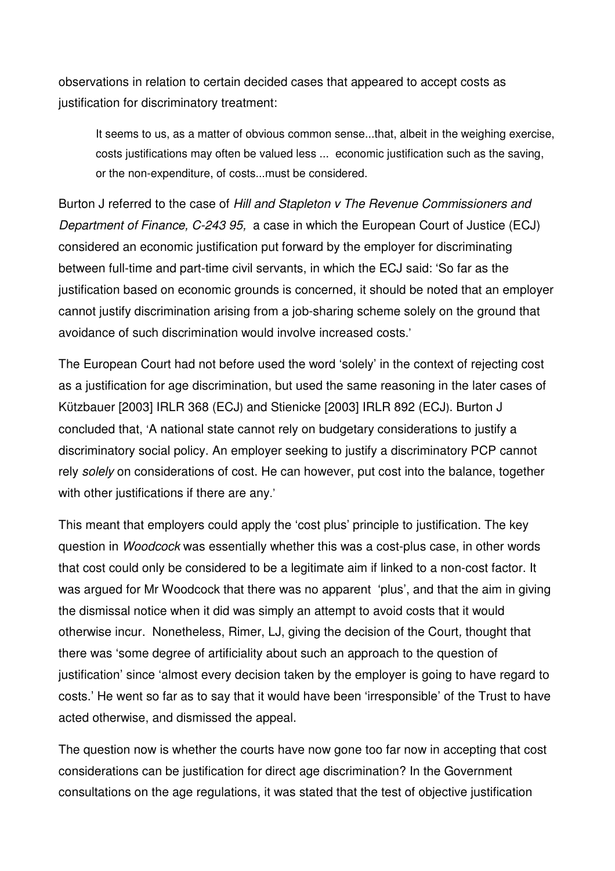observations in relation to certain decided cases that appeared to accept costs as justification for discriminatory treatment:

It seems to us, as a matter of obvious common sense...that, albeit in the weighing exercise, costs justifications may often be valued less ... economic justification such as the saving, or the non-expenditure, of costs...must be considered.

Burton J referred to the case of Hill and Stapleton v The Revenue Commissioners and Department of Finance, C-243 95, a case in which the European Court of Justice (ECJ) considered an economic justification put forward by the employer for discriminating between full-time and part-time civil servants, in which the ECJ said: 'So far as the justification based on economic grounds is concerned, it should be noted that an employer cannot justify discrimination arising from a job-sharing scheme solely on the ground that avoidance of such discrimination would involve increased costs.'

The European Court had not before used the word 'solely' in the context of rejecting cost as a justification for age discrimination, but used the same reasoning in the later cases of Kützbauer [2003] IRLR 368 (ECJ) and Stienicke [2003] IRLR 892 (ECJ). Burton J concluded that, 'A national state cannot rely on budgetary considerations to justify a discriminatory social policy. An employer seeking to justify a discriminatory PCP cannot rely solely on considerations of cost. He can however, put cost into the balance, together with other justifications if there are any.'

This meant that employers could apply the 'cost plus' principle to justification. The key question in Woodcock was essentially whether this was a cost-plus case, in other words that cost could only be considered to be a legitimate aim if linked to a non-cost factor. It was argued for Mr Woodcock that there was no apparent 'plus', and that the aim in giving the dismissal notice when it did was simply an attempt to avoid costs that it would otherwise incur. Nonetheless, Rimer, LJ, giving the decision of the Court, thought that there was 'some degree of artificiality about such an approach to the question of justification' since 'almost every decision taken by the employer is going to have regard to costs.' He went so far as to say that it would have been 'irresponsible' of the Trust to have acted otherwise, and dismissed the appeal.

The question now is whether the courts have now gone too far now in accepting that cost considerations can be justification for direct age discrimination? In the Government consultations on the age regulations, it was stated that the test of objective justification